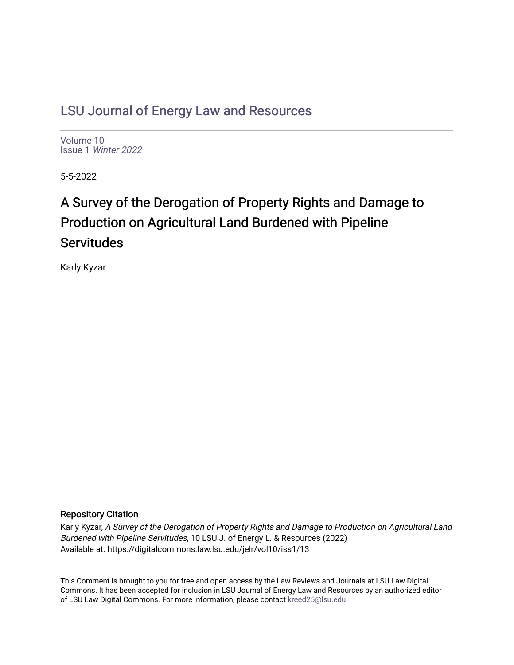# [LSU Journal of Energy Law and Resources](https://digitalcommons.law.lsu.edu/jelr)

[Volume 10](https://digitalcommons.law.lsu.edu/jelr/vol10) Issue 1 [Winter 2022](https://digitalcommons.law.lsu.edu/jelr/vol10/iss1) 

5-5-2022

# A Survey of the Derogation of Property Rights and Damage to Production on Agricultural Land Burdened with Pipeline **Servitudes**

Karly Kyzar

## Repository Citation

Karly Kyzar, A Survey of the Derogation of Property Rights and Damage to Production on Agricultural Land Burdened with Pipeline Servitudes, 10 LSU J. of Energy L. & Resources (2022) Available at: https://digitalcommons.law.lsu.edu/jelr/vol10/iss1/13

This Comment is brought to you for free and open access by the Law Reviews and Journals at LSU Law Digital Commons. It has been accepted for inclusion in LSU Journal of Energy Law and Resources by an authorized editor of LSU Law Digital Commons. For more information, please contact [kreed25@lsu.edu](mailto:kreed25@lsu.edu).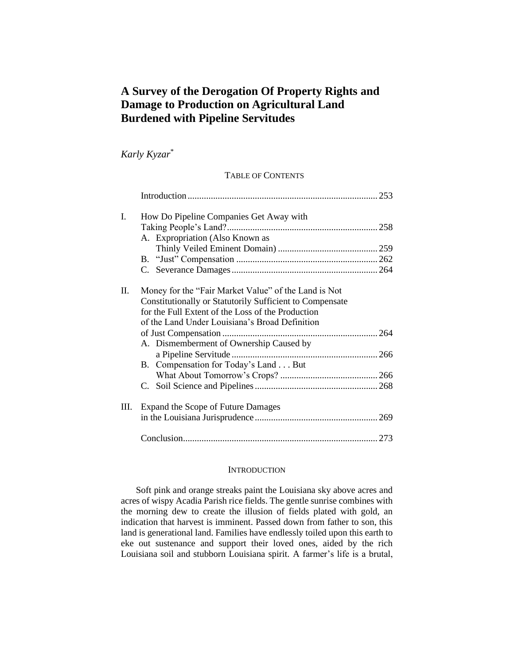## **A Survey of the Derogation Of Property Rights and Damage to Production on Agricultural Land Burdened with Pipeline Servitudes**

*Karly Kyzar*\*

## TABLE OF CONTENTS

| I. | How Do Pipeline Companies Get Away with                                                                                                                                                                                                                            |  |
|----|--------------------------------------------------------------------------------------------------------------------------------------------------------------------------------------------------------------------------------------------------------------------|--|
|    | A. Expropriation (Also Known as                                                                                                                                                                                                                                    |  |
|    |                                                                                                                                                                                                                                                                    |  |
|    |                                                                                                                                                                                                                                                                    |  |
|    |                                                                                                                                                                                                                                                                    |  |
| П. | Money for the "Fair Market Value" of the Land is Not<br>Constitutionally or Statutorily Sufficient to Compensate<br>for the Full Extent of the Loss of the Production<br>of the Land Under Louisiana's Broad Definition<br>A. Dismemberment of Ownership Caused by |  |
|    | a Pipeline Servitude                                                                                                                                                                                                                                               |  |
|    | B. Compensation for Today's Land But                                                                                                                                                                                                                               |  |
|    |                                                                                                                                                                                                                                                                    |  |
|    |                                                                                                                                                                                                                                                                    |  |
| Ш. | Expand the Scope of Future Damages                                                                                                                                                                                                                                 |  |
|    |                                                                                                                                                                                                                                                                    |  |

#### **INTRODUCTION**

Soft pink and orange streaks paint the Louisiana sky above acres and acres of wispy Acadia Parish rice fields. The gentle sunrise combines with the morning dew to create the illusion of fields plated with gold, an indication that harvest is imminent. Passed down from father to son, this land is generational land. Families have endlessly toiled upon this earth to eke out sustenance and support their loved ones, aided by the rich Louisiana soil and stubborn Louisiana spirit. A farmer's life is a brutal,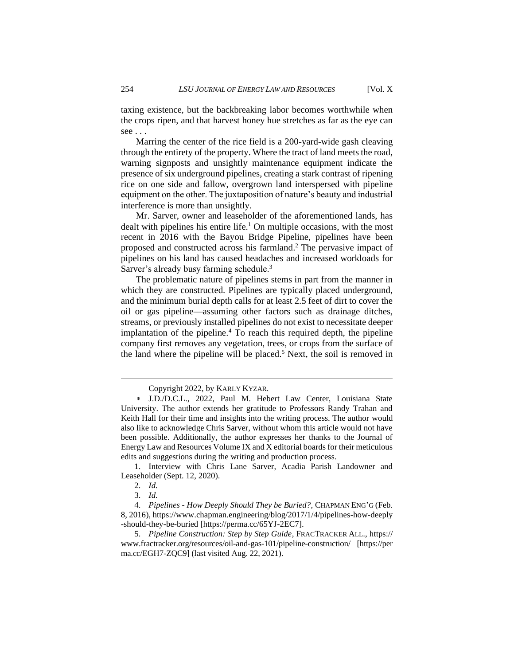taxing existence, but the backbreaking labor becomes worthwhile when the crops ripen, and that harvest honey hue stretches as far as the eye can see . . .

Marring the center of the rice field is a 200-yard-wide gash cleaving through the entirety of the property. Where the tract of land meets the road, warning signposts and unsightly maintenance equipment indicate the presence of six underground pipelines, creating a stark contrast of ripening rice on one side and fallow, overgrown land interspersed with pipeline equipment on the other. The juxtaposition of nature's beauty and industrial interference is more than unsightly.

Mr. Sarver, owner and leaseholder of the aforementioned lands, has dealt with pipelines his entire life.<sup>1</sup> On multiple occasions, with the most recent in 2016 with the Bayou Bridge Pipeline, pipelines have been proposed and constructed across his farmland. <sup>2</sup> The pervasive impact of pipelines on his land has caused headaches and increased workloads for Sarver's already busy farming schedule.<sup>3</sup>

The problematic nature of pipelines stems in part from the manner in which they are constructed. Pipelines are typically placed underground, and the minimum burial depth calls for at least 2.5 feet of dirt to cover the oil or gas pipeline—assuming other factors such as drainage ditches, streams, or previously installed pipelines do not exist to necessitate deeper implantation of the pipeline.<sup>4</sup> To reach this required depth, the pipeline company first removes any vegetation, trees, or crops from the surface of the land where the pipeline will be placed.<sup>5</sup> Next, the soil is removed in

1. Interview with Chris Lane Sarver, Acadia Parish Landowner and Leaseholder (Sept. 12, 2020).

Copyright 2022, by KARLY KYZAR.

J.D./D.C.L., 2022, Paul M. Hebert Law Center, Louisiana State University. The author extends her gratitude to Professors Randy Trahan and Keith Hall for their time and insights into the writing process. The author would also like to acknowledge Chris Sarver, without whom this article would not have been possible. Additionally, the author expresses her thanks to the Journal of Energy Law and Resources Volume IX and X editorial boards for their meticulous edits and suggestions during the writing and production process.

<sup>2.</sup> *Id.*

<sup>3.</sup> *Id.*

<sup>4.</sup> *Pipelines - How Deeply Should They be Buried?*, CHAPMAN ENG'G (Feb. 8, 2016), https://www.chapman.engineering/blog/2017/1/4/pipelines-how-deeply -should-they-be-buried [https://perma.cc/65YJ-2EC7].

<sup>5.</sup> *Pipeline Construction: Step by Step Guide*, FRACTRACKER ALL., https:// www.fractracker.org/resources/oil-and-gas-101/pipeline-construction/ [https://per ma.cc/EGH7-ZQC9] (last visited Aug. 22, 2021).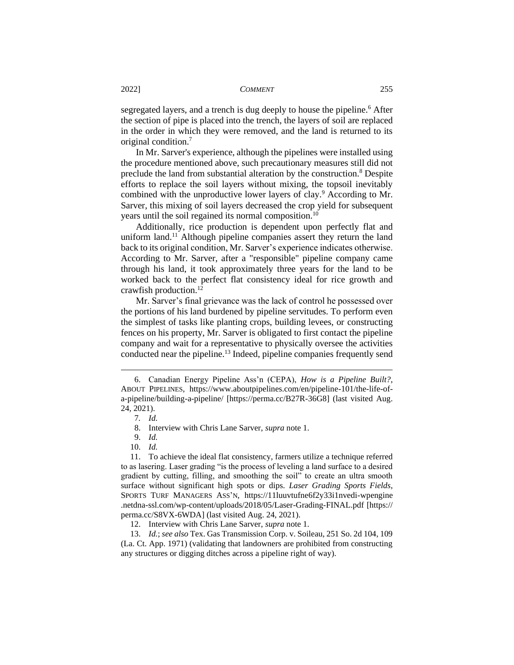segregated layers, and a trench is dug deeply to house the pipeline.<sup>6</sup> After the section of pipe is placed into the trench, the layers of soil are replaced in the order in which they were removed, and the land is returned to its original condition.<sup>7</sup>

In Mr. Sarver's experience, although the pipelines were installed using the procedure mentioned above, such precautionary measures still did not preclude the land from substantial alteration by the construction.<sup>8</sup> Despite efforts to replace the soil layers without mixing, the topsoil inevitably combined with the unproductive lower layers of clay.<sup>9</sup> According to Mr. Sarver, this mixing of soil layers decreased the crop yield for subsequent years until the soil regained its normal composition.<sup>10</sup>

Additionally, rice production is dependent upon perfectly flat and uniform land.<sup>11</sup> Although pipeline companies assert they return the land back to its original condition, Mr. Sarver's experience indicates otherwise. According to Mr. Sarver, after a "responsible" pipeline company came through his land, it took approximately three years for the land to be worked back to the perfect flat consistency ideal for rice growth and crawfish production.<sup>12</sup>

Mr. Sarver's final grievance was the lack of control he possessed over the portions of his land burdened by pipeline servitudes. To perform even the simplest of tasks like planting crops, building levees, or constructing fences on his property, Mr. Sarver is obligated to first contact the pipeline company and wait for a representative to physically oversee the activities conducted near the pipeline.<sup>13</sup> Indeed, pipeline companies frequently send

<sup>6.</sup> Canadian Energy Pipeline Ass'n (CEPA), *How is a Pipeline Built?*, ABOUT PIPELINES, https://www.aboutpipelines.com/en/pipeline-101/the-life-ofa-pipeline/building-a-pipeline/ [https://perma.cc/B27R-36G8] (last visited Aug. 24, 2021).

<sup>7</sup>*. Id.*

<sup>8.</sup> Interview with Chris Lane Sarver, *supra* note 1.

<sup>9.</sup> *Id.*

<sup>10.</sup> *Id.*

<sup>11.</sup> To achieve the ideal flat consistency, farmers utilize a technique referred to as lasering. Laser grading "is the process of leveling a land surface to a desired gradient by cutting, filling, and smoothing the soil" to create an ultra smooth surface without significant high spots or dips. *Laser Grading Sports Fields*, SPORTS TURF MANAGERS ASS'N, https://11luuvtufne6f2y33i1nvedi-wpengine .netdna-ssl.com/wp-content/uploads/2018/05/Laser-Grading-FINAL.pdf [https:// perma.cc/S8VX-6WDA] (last visited Aug. 24, 2021).

<sup>12.</sup> Interview with Chris Lane Sarver, *supra* note 1.

<sup>13.</sup> *Id.*; *see also* Tex. Gas Transmission Corp. v. Soileau, 251 So. 2d 104, 109 (La. Ct. App. 1971) (validating that landowners are prohibited from constructing any structures or digging ditches across a pipeline right of way).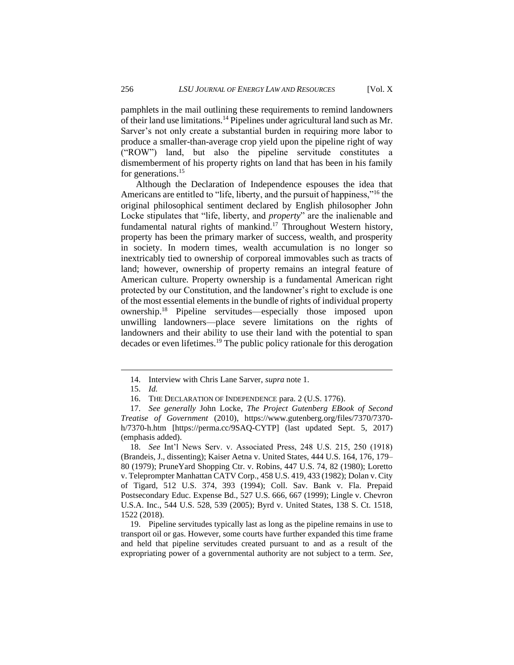pamphlets in the mail outlining these requirements to remind landowners of their land use limitations.<sup>14</sup> Pipelines under agricultural land such as Mr. Sarver's not only create a substantial burden in requiring more labor to produce a smaller-than-average crop yield upon the pipeline right of way ("ROW") land, but also the pipeline servitude constitutes a dismemberment of his property rights on land that has been in his family for generations.<sup>15</sup>

Although the Declaration of Independence espouses the idea that Americans are entitled to "life, liberty, and the pursuit of happiness,"<sup>16</sup> the original philosophical sentiment declared by English philosopher John Locke stipulates that "life, liberty, and *property*" are the inalienable and fundamental natural rights of mankind.<sup>17</sup> Throughout Western history, property has been the primary marker of success, wealth, and prosperity in society. In modern times, wealth accumulation is no longer so inextricably tied to ownership of corporeal immovables such as tracts of land; however, ownership of property remains an integral feature of American culture. Property ownership is a fundamental American right protected by our Constitution, and the landowner's right to exclude is one of the most essential elements in the bundle of rights of individual property ownership.<sup>18</sup> Pipeline servitudes—especially those imposed upon unwilling landowners—place severe limitations on the rights of landowners and their ability to use their land with the potential to span decades or even lifetimes.<sup>19</sup> The public policy rationale for this derogation

<sup>14.</sup> Interview with Chris Lane Sarver, *supra* note 1.

<sup>15.</sup> *Id.*

<sup>16.</sup> THE DECLARATION OF INDEPENDENCE para. 2 (U.S. 1776).

<sup>17.</sup> *See generally* John Locke, *The Project Gutenberg EBook of Second Treatise of Government* (2010), https://www.gutenberg.org/files/7370/7370 h/7370-h.htm [https://perma.cc/9SAQ-CYTP] (last updated Sept. 5, 2017) (emphasis added).

<sup>18.</sup> *See* Int'l News Serv. v. Associated Press, 248 U.S. 215, 250 (1918) (Brandeis, J., dissenting); Kaiser Aetna v. United States, 444 U.S. 164, 176, 179– 80 (1979); PruneYard Shopping Ctr. v. Robins, 447 U.S. 74, 82 (1980); Loretto v. Teleprompter Manhattan CATV Corp., 458 U.S. 419, 433 (1982); Dolan v. City of Tigard, 512 U.S. 374, 393 (1994); Coll. Sav. Bank v. Fla. Prepaid Postsecondary Educ. Expense Bd., 527 U.S. 666, 667 (1999); Lingle v. Chevron U.S.A. Inc., 544 U.S. 528, 539 (2005); Byrd v. United States, 138 S. Ct. 1518, 1522 (2018).

<sup>19.</sup> Pipeline servitudes typically last as long as the pipeline remains in use to transport oil or gas. However, some courts have further expanded this time frame and held that pipeline servitudes created pursuant to and as a result of the expropriating power of a governmental authority are not subject to a term. *See,*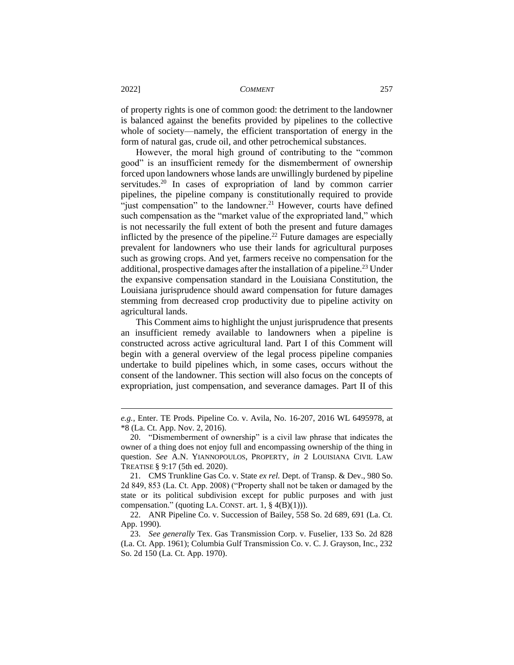of property rights is one of common good: the detriment to the landowner is balanced against the benefits provided by pipelines to the collective whole of society—namely, the efficient transportation of energy in the form of natural gas, crude oil, and other petrochemical substances.

However, the moral high ground of contributing to the "common good" is an insufficient remedy for the dismemberment of ownership forced upon landowners whose lands are unwillingly burdened by pipeline servitudes.<sup>20</sup> In cases of expropriation of land by common carrier pipelines, the pipeline company is constitutionally required to provide "just compensation" to the landowner.<sup>21</sup> However, courts have defined such compensation as the "market value of the expropriated land," which is not necessarily the full extent of both the present and future damages inflicted by the presence of the pipeline.<sup>22</sup> Future damages are especially prevalent for landowners who use their lands for agricultural purposes such as growing crops. And yet, farmers receive no compensation for the additional, prospective damages after the installation of a pipeline.<sup>23</sup> Under the expansive compensation standard in the Louisiana Constitution, the Louisiana jurisprudence should award compensation for future damages stemming from decreased crop productivity due to pipeline activity on agricultural lands.

This Comment aims to highlight the unjust jurisprudence that presents an insufficient remedy available to landowners when a pipeline is constructed across active agricultural land. Part I of this Comment will begin with a general overview of the legal process pipeline companies undertake to build pipelines which, in some cases, occurs without the consent of the landowner. This section will also focus on the concepts of expropriation, just compensation, and severance damages. Part II of this

*e.g.*, Enter. TE Prods. Pipeline Co. v. Avila, No. 16-207, 2016 WL 6495978, at \*8 (La. Ct. App. Nov. 2, 2016).

<sup>20.</sup> "Dismemberment of ownership" is a civil law phrase that indicates the owner of a thing does not enjoy full and encompassing ownership of the thing in question. *See* A.N. YIANNOPOULOS, PROPERTY, *in* 2 LOUISIANA CIVIL LAW TREATISE § 9:17 (5th ed. 2020).

<sup>21.</sup> CMS Trunkline Gas Co. v. State *ex rel.* Dept. of Transp. & Dev., 980 So. 2d 849, 853 (La. Ct. App. 2008) ("Property shall not be taken or damaged by the state or its political subdivision except for public purposes and with just compensation." (quoting LA. CONST. art. 1,  $\S$  4(B)(1))).

<sup>22.</sup> ANR Pipeline Co. v. Succession of Bailey, 558 So. 2d 689, 691 (La. Ct. App. 1990).

<sup>23.</sup> *See generally* Tex. Gas Transmission Corp. v. Fuselier, 133 So. 2d 828 (La. Ct. App. 1961); Columbia Gulf Transmission Co. v. C. J. Grayson, Inc., 232 So. 2d 150 (La. Ct. App. 1970).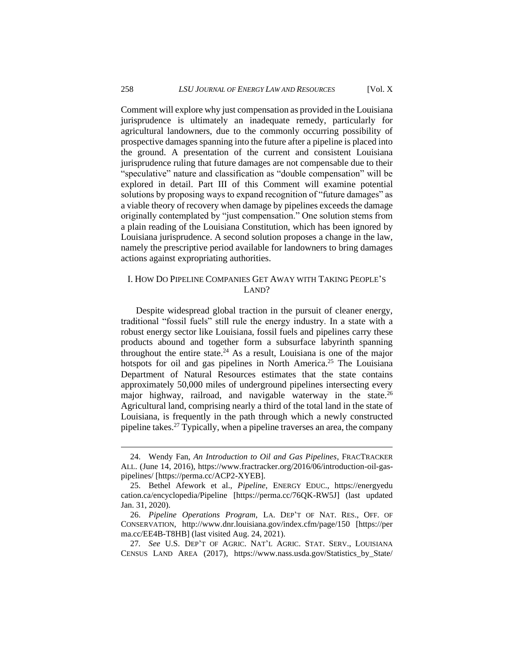## 258 *LSU JOURNAL OF ENERGY LAW AND RESOURCES* [Vol. X

Comment will explore why just compensation as provided in the Louisiana jurisprudence is ultimately an inadequate remedy, particularly for agricultural landowners, due to the commonly occurring possibility of prospective damages spanning into the future after a pipeline is placed into the ground. A presentation of the current and consistent Louisiana jurisprudence ruling that future damages are not compensable due to their "speculative" nature and classification as "double compensation" will be explored in detail. Part III of this Comment will examine potential solutions by proposing ways to expand recognition of "future damages" as a viable theory of recovery when damage by pipelines exceeds the damage originally contemplated by "just compensation." One solution stems from a plain reading of the Louisiana Constitution, which has been ignored by Louisiana jurisprudence. A second solution proposes a change in the law, namely the prescriptive period available for landowners to bring damages actions against expropriating authorities.

## I. HOW DO PIPELINE COMPANIES GET AWAY WITH TAKING PEOPLE'S LAND?

Despite widespread global traction in the pursuit of cleaner energy, traditional "fossil fuels" still rule the energy industry. In a state with a robust energy sector like Louisiana, fossil fuels and pipelines carry these products abound and together form a subsurface labyrinth spanning throughout the entire state. $24$  As a result, Louisiana is one of the major hotspots for oil and gas pipelines in North America.<sup>25</sup> The Louisiana Department of Natural Resources estimates that the state contains approximately 50,000 miles of underground pipelines intersecting every major highway, railroad, and navigable waterway in the state.<sup>26</sup> Agricultural land, comprising nearly a third of the total land in the state of Louisiana, is frequently in the path through which a newly constructed pipeline takes.<sup>27</sup> Typically, when a pipeline traverses an area, the company

<sup>24.</sup> Wendy Fan, *An Introduction to Oil and Gas Pipelines*, FRACTRACKER ALL. (June 14, 2016), https://www.fractracker.org/2016/06/introduction-oil-gaspipelines/ [https://perma.cc/ACP2-XYEB].

<sup>25.</sup> Bethel Afework et al., *Pipeline*, ENERGY EDUC., https://energyedu cation.ca/encyclopedia/Pipeline [https://perma.cc/76QK-RW5J] (last updated Jan. 31, 2020).

<sup>26.</sup> *Pipeline Operations Program*, LA. DEP'T OF NAT. RES., OFF. OF CONSERVATION, http://www.dnr.louisiana.gov/index.cfm/page/150 [https://per ma.cc/EE4B-T8HB] (last visited Aug. 24, 2021).

<sup>27</sup>*. See* U.S. DEP'T OF AGRIC. NAT'L AGRIC. STAT. SERV., LOUISIANA CENSUS LAND AREA (2017), https://www.nass.usda.gov/Statistics\_by\_State/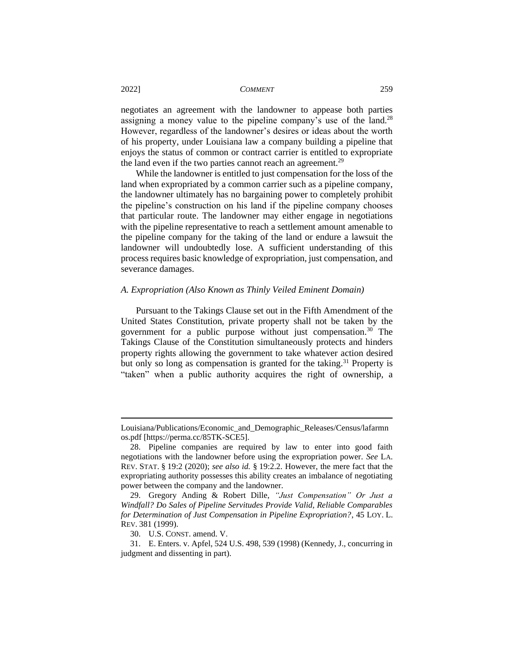negotiates an agreement with the landowner to appease both parties assigning a money value to the pipeline company's use of the land.<sup>28</sup> However, regardless of the landowner's desires or ideas about the worth of his property, under Louisiana law a company building a pipeline that enjoys the status of common or contract carrier is entitled to expropriate the land even if the two parties cannot reach an agreement.<sup>29</sup>

While the landowner is entitled to just compensation for the loss of the land when expropriated by a common carrier such as a pipeline company, the landowner ultimately has no bargaining power to completely prohibit the pipeline's construction on his land if the pipeline company chooses that particular route. The landowner may either engage in negotiations with the pipeline representative to reach a settlement amount amenable to the pipeline company for the taking of the land or endure a lawsuit the landowner will undoubtedly lose. A sufficient understanding of this process requires basic knowledge of expropriation, just compensation, and severance damages.

#### *A. Expropriation (Also Known as Thinly Veiled Eminent Domain)*

Pursuant to the Takings Clause set out in the Fifth Amendment of the United States Constitution, private property shall not be taken by the government for a public purpose without just compensation.<sup>30</sup> The Takings Clause of the Constitution simultaneously protects and hinders property rights allowing the government to take whatever action desired but only so long as compensation is granted for the taking.<sup>31</sup> Property is "taken" when a public authority acquires the right of ownership, a

Louisiana/Publications/Economic\_and\_Demographic\_Releases/Census/lafarmn os.pdf [https://perma.cc/85TK-SCE5].

<sup>28.</sup> Pipeline companies are required by law to enter into good faith negotiations with the landowner before using the expropriation power. *See* LA. REV. STAT. § 19:2 (2020); *see also id.* § 19:2.2. However, the mere fact that the expropriating authority possesses this ability creates an imbalance of negotiating power between the company and the landowner.

<sup>29.</sup> Gregory Anding & Robert Dille, *"Just Compensation" Or Just a Windfall? Do Sales of Pipeline Servitudes Provide Valid, Reliable Comparables for Determination of Just Compensation in Pipeline Expropriation?*, 45 LOY. L. REV. 381 (1999).

<sup>30.</sup> U.S. CONST. amend. V.

<sup>31.</sup> E. Enters. v. Apfel, 524 U.S. 498, 539 (1998) (Kennedy, J., concurring in judgment and dissenting in part).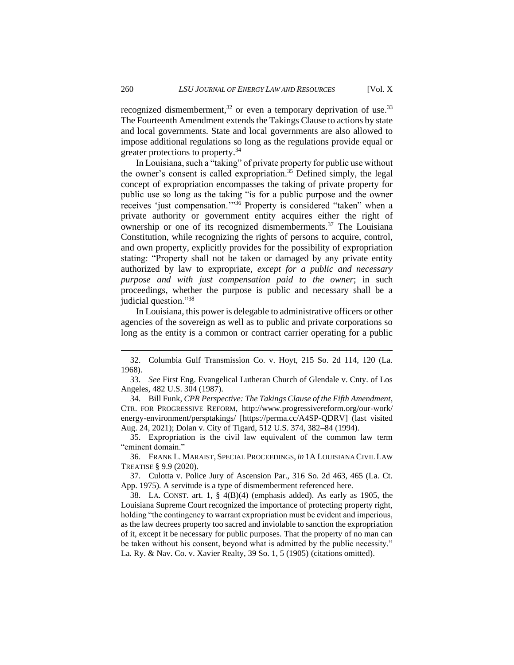recognized dismemberment,<sup>32</sup> or even a temporary deprivation of use.<sup>33</sup> The Fourteenth Amendment extends the Takings Clause to actions by state and local governments. State and local governments are also allowed to impose additional regulations so long as the regulations provide equal or greater protections to property.<sup>34</sup>

In Louisiana, such a "taking" of private property for public use without the owner's consent is called expropriation.<sup>35</sup> Defined simply, the legal concept of expropriation encompasses the taking of private property for public use so long as the taking "is for a public purpose and the owner receives 'just compensation.'"<sup>36</sup> Property is considered "taken" when a private authority or government entity acquires either the right of ownership or one of its recognized dismemberments.<sup>37</sup> The Louisiana Constitution, while recognizing the rights of persons to acquire, control, and own property, explicitly provides for the possibility of expropriation stating: "Property shall not be taken or damaged by any private entity authorized by law to expropriate, *except for a public and necessary purpose and with just compensation paid to the owner*; in such proceedings, whether the purpose is public and necessary shall be a judicial question."<sup>38</sup>

In Louisiana, this power is delegable to administrative officers or other agencies of the sovereign as well as to public and private corporations so long as the entity is a common or contract carrier operating for a public

35. Expropriation is the civil law equivalent of the common law term "eminent domain."

36. FRANK L. MARAIST, SPECIAL PROCEEDINGS, *in* 1A LOUISIANA CIVIL LAW TREATISE § 9.9 (2020).

37. Culotta v. Police Jury of Ascension Par., 316 So. 2d 463, 465 (La. Ct. App. 1975). A servitude is a type of dismemberment referenced here.

38. LA. CONST. art. 1, § 4(B)(4) (emphasis added). As early as 1905, the Louisiana Supreme Court recognized the importance of protecting property right, holding "the contingency to warrant expropriation must be evident and imperious, as the law decrees property too sacred and inviolable to sanction the expropriation of it, except it be necessary for public purposes. That the property of no man can be taken without his consent, beyond what is admitted by the public necessity." La. Ry. & Nav. Co. v. Xavier Realty, 39 So. 1, 5 (1905) (citations omitted).

<sup>32.</sup> Columbia Gulf Transmission Co. v. Hoyt, 215 So. 2d 114, 120 (La. 1968).

<sup>33.</sup> *See* First Eng. Evangelical Lutheran Church of Glendale v. Cnty. of Los Angeles, 482 U.S. 304 (1987).

<sup>34.</sup> Bill Funk, *CPR Perspective: The Takings Clause of the Fifth Amendment*, CTR. FOR PROGRESSIVE REFORM, http://www.progressivereform.org/our-work/ energy-environment/persptakings/ [https://perma.cc/A4SP-QDRV] (last visited Aug. 24, 2021); Dolan v. City of Tigard, 512 U.S. 374, 382–84 (1994).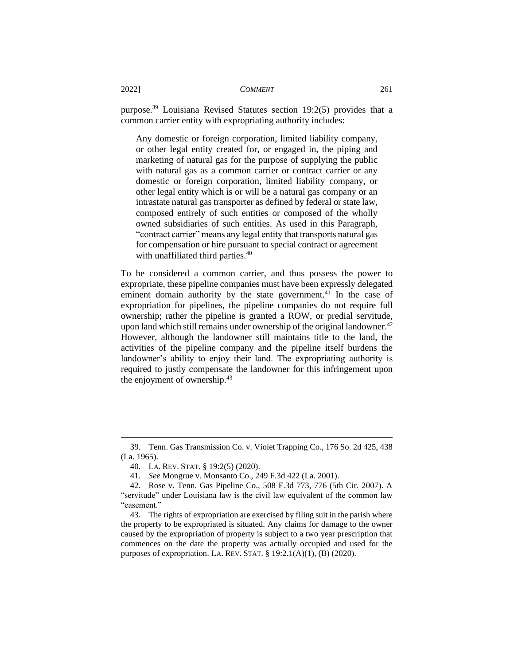purpose.<sup>39</sup> Louisiana Revised Statutes section 19:2(5) provides that a common carrier entity with expropriating authority includes:

Any domestic or foreign corporation, limited liability company, or other legal entity created for, or engaged in, the piping and marketing of natural gas for the purpose of supplying the public with natural gas as a common carrier or contract carrier or any domestic or foreign corporation, limited liability company, or other legal entity which is or will be a natural gas company or an intrastate natural gas transporter as defined by federal or state law, composed entirely of such entities or composed of the wholly owned subsidiaries of such entities. As used in this Paragraph, "contract carrier" means any legal entity that transports natural gas for compensation or hire pursuant to special contract or agreement with unaffiliated third parties.<sup>40</sup>

To be considered a common carrier, and thus possess the power to expropriate, these pipeline companies must have been expressly delegated eminent domain authority by the state government.<sup>41</sup> In the case of expropriation for pipelines, the pipeline companies do not require full ownership; rather the pipeline is granted a ROW, or predial servitude, upon land which still remains under ownership of the original landowner.<sup>42</sup> However, although the landowner still maintains title to the land, the activities of the pipeline company and the pipeline itself burdens the landowner's ability to enjoy their land. The expropriating authority is required to justly compensate the landowner for this infringement upon the enjoyment of ownership.<sup>43</sup>

<sup>39.</sup> Tenn. Gas Transmission Co. v. Violet Trapping Co., 176 So. 2d 425, 438 (La. 1965).

<sup>40.</sup> LA. REV. STAT. § 19:2(5) (2020).

<sup>41.</sup> *See* Mongrue v. Monsanto Co., 249 F.3d 422 (La. 2001).

<sup>42.</sup> Rose v. Tenn. Gas Pipeline Co., 508 F.3d 773, 776 (5th Cir. 2007). A "servitude" under Louisiana law is the civil law equivalent of the common law "easement."

<sup>43.</sup> The rights of expropriation are exercised by filing suit in the parish where the property to be expropriated is situated. Any claims for damage to the owner caused by the expropriation of property is subject to a two year prescription that commences on the date the property was actually occupied and used for the purposes of expropriation. LA. REV. STAT. § 19:2.1(A)(1), (B) (2020).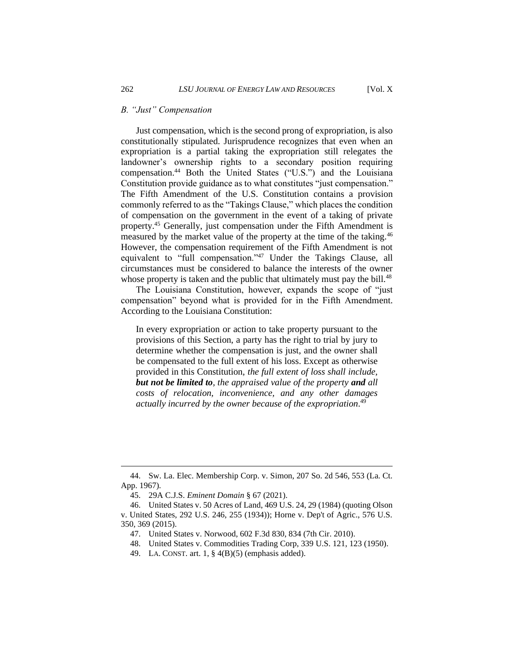Just compensation, which is the second prong of expropriation, is also constitutionally stipulated. Jurisprudence recognizes that even when an expropriation is a partial taking the expropriation still relegates the landowner's ownership rights to a secondary position requiring compensation.<sup>44</sup> Both the United States ("U.S.") and the Louisiana Constitution provide guidance as to what constitutes "just compensation." The Fifth Amendment of the U.S. Constitution contains a provision commonly referred to as the "Takings Clause," which places the condition of compensation on the government in the event of a taking of private property.<sup>45</sup> Generally, just compensation under the Fifth Amendment is measured by the market value of the property at the time of the taking.<sup>46</sup> However, the compensation requirement of the Fifth Amendment is not equivalent to "full compensation."<sup>47</sup> Under the Takings Clause, all circumstances must be considered to balance the interests of the owner whose property is taken and the public that ultimately must pay the bill.<sup>48</sup>

The Louisiana Constitution, however, expands the scope of "just compensation" beyond what is provided for in the Fifth Amendment. According to the Louisiana Constitution:

In every expropriation or action to take property pursuant to the provisions of this Section, a party has the right to trial by jury to determine whether the compensation is just, and the owner shall be compensated to the full extent of his loss. Except as otherwise provided in this Constitution, *the full extent of loss shall include, but not be limited to, the appraised value of the property and all costs of relocation, inconvenience, and any other damages actually incurred by the owner because of the expropriation*. 49

<sup>44.</sup> Sw. La. Elec. Membership Corp. v. Simon, 207 So. 2d 546, 553 (La. Ct. App. 1967).

<sup>45.</sup> 29A C.J.S. *Eminent Domain* § 67 (2021).

<sup>46.</sup> United States v. 50 Acres of Land, 469 U.S. 24, 29 (1984) (quoting Olson v. United States, 292 U.S. 246, 255 (1934)); Horne v. Dep't of Agric., 576 U.S. 350, 369 (2015).

<sup>47.</sup> United States v. Norwood, 602 F.3d 830, 834 (7th Cir. 2010).

<sup>48.</sup> United States v. Commodities Trading Corp, 339 U.S. 121, 123 (1950).

<sup>49.</sup> LA. CONST. art. 1, § 4(B)(5) (emphasis added).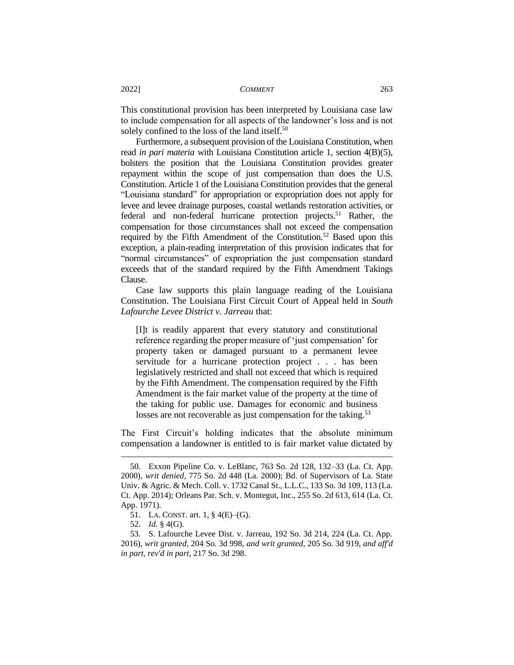This constitutional provision has been interpreted by Louisiana case law to include compensation for all aspects of the landowner's loss and is not solely confined to the loss of the land itself.<sup>50</sup>

Furthermore, a subsequent provision of the Louisiana Constitution, when read *in pari materia* with Louisiana Constitution article 1, section 4(B)(5), bolsters the position that the Louisiana Constitution provides greater repayment within the scope of just compensation than does the U.S. Constitution. Article 1 of the Louisiana Constitution provides that the general "Louisiana standard" for appropriation or expropriation does not apply for levee and levee drainage purposes, coastal wetlands restoration activities, or federal and non-federal hurricane protection projects.<sup>51</sup> Rather, the compensation for those circumstances shall not exceed the compensation required by the Fifth Amendment of the Constitution.<sup>52</sup> Based upon this exception, a plain-reading interpretation of this provision indicates that for "normal circumstances" of expropriation the just compensation standard exceeds that of the standard required by the Fifth Amendment Takings Clause.

Case law supports this plain language reading of the Louisiana Constitution. The Louisiana First Circuit Court of Appeal held in *South Lafourche Levee District v. Jarreau* that:

[I]t is readily apparent that every statutory and constitutional reference regarding the proper measure of 'just compensation' for property taken or damaged pursuant to a permanent levee servitude for a hurricane protection project . . . has been legislatively restricted and shall not exceed that which is required by the Fifth Amendment. The compensation required by the Fifth Amendment is the fair market value of the property at the time of the taking for public use. Damages for economic and business losses are not recoverable as just compensation for the taking.<sup>53</sup>

The First Circuit's holding indicates that the absolute minimum compensation a landowner is entitled to is fair market value dictated by

<sup>50.</sup> Exxon Pipeline Co. v. LeBlanc, 763 So. 2d 128, 132–33 (La. Ct. App. 2000), *writ denied*, 775 So. 2d 448 (La. 2000); Bd. of Supervisors of La. State Univ. & Agric. & Mech. Coll. v. 1732 Canal St., L.L.C., 133 So. 3d 109, 113 (La. Ct. App. 2014); Orleans Par. Sch. v. Montegut, Inc., 255 So. 2d 613, 614 (La. Ct. App. 1971).

<sup>51.</sup> LA. CONST. art. 1, § 4(E)–(G).

<sup>52.</sup> *Id.* § 4(G).

<sup>53.</sup> S. Lafourche Levee Dist. v. Jarreau, 192 So. 3d 214, 224 (La. Ct. App. 2016), *writ granted*, 204 So. 3d 998, *and writ granted*, 205 So. 3d 919, *and aff'd in part, rev'd in part*, 217 So. 3d 298.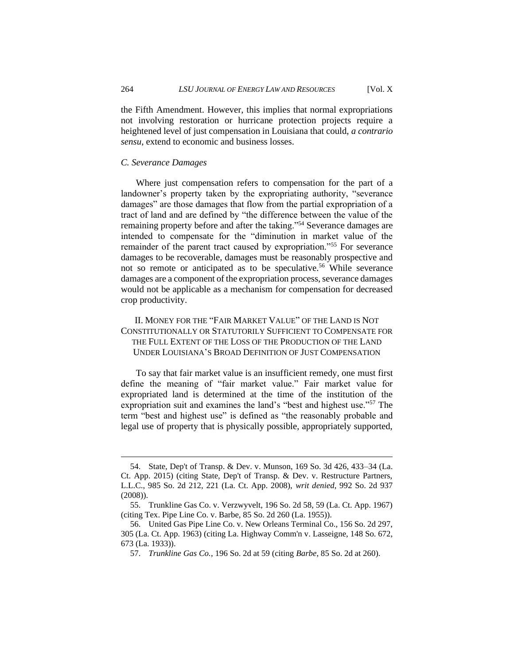the Fifth Amendment. However, this implies that normal expropriations not involving restoration or hurricane protection projects require a heightened level of just compensation in Louisiana that could, *a contrario sensu*, extend to economic and business losses.

## *C. Severance Damages*

Where just compensation refers to compensation for the part of a landowner's property taken by the expropriating authority, "severance damages" are those damages that flow from the partial expropriation of a tract of land and are defined by "the difference between the value of the remaining property before and after the taking."<sup>54</sup> Severance damages are intended to compensate for the "diminution in market value of the remainder of the parent tract caused by expropriation."<sup>55</sup> For severance damages to be recoverable, damages must be reasonably prospective and not so remote or anticipated as to be speculative.<sup>56</sup> While severance damages are a component of the expropriation process, severance damages would not be applicable as a mechanism for compensation for decreased crop productivity.

## II. MONEY FOR THE "FAIR MARKET VALUE" OF THE LAND IS NOT CONSTITUTIONALLY OR STATUTORILY SUFFICIENT TO COMPENSATE FOR THE FULL EXTENT OF THE LOSS OF THE PRODUCTION OF THE LAND UNDER LOUISIANA'S BROAD DEFINITION OF JUST COMPENSATION

To say that fair market value is an insufficient remedy, one must first define the meaning of "fair market value." Fair market value for expropriated land is determined at the time of the institution of the expropriation suit and examines the land's "best and highest use."<sup>57</sup> The term "best and highest use" is defined as "the reasonably probable and legal use of property that is physically possible, appropriately supported,

<sup>54.</sup> State, Dep't of Transp. & Dev. v. Munson, 169 So. 3d 426, 433–34 (La. Ct. App. 2015) (citing State, Dep't of Transp. & Dev. v. Restructure Partners, L.L.C., 985 So. 2d 212, 221 (La. Ct. App. 2008), *writ denied*, 992 So. 2d 937 (2008)).

<sup>55.</sup> Trunkline Gas Co. v. Verzwyvelt, 196 So. 2d 58, 59 (La. Ct. App. 1967) (citing Tex. Pipe Line Co. v. Barbe, 85 So. 2d 260 (La. 1955)).

<sup>56.</sup> United Gas Pipe Line Co. v. New Orleans Terminal Co., 156 So. 2d 297, 305 (La. Ct. App. 1963) (citing La. Highway Comm'n v. Lasseigne, 148 So. 672, 673 (La. 1933)).

<sup>57.</sup> *Trunkline Gas Co.*, 196 So. 2d at 59 (citing *Barbe*, 85 So. 2d at 260).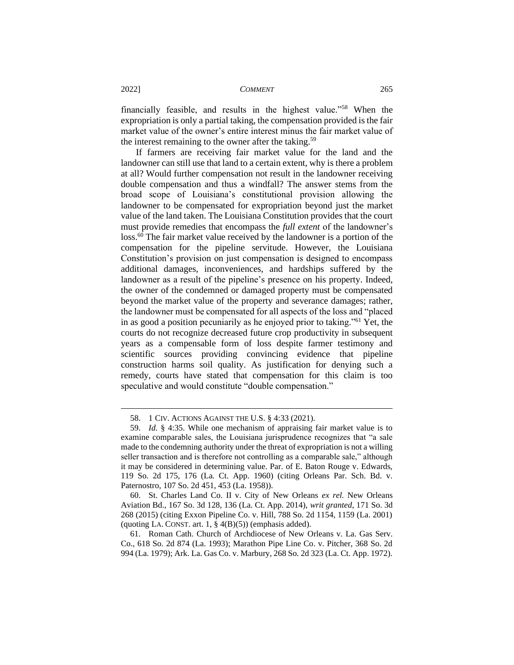financially feasible, and results in the highest value."<sup>58</sup> When the expropriation is only a partial taking, the compensation provided is the fair market value of the owner's entire interest minus the fair market value of the interest remaining to the owner after the taking.<sup>59</sup>

If farmers are receiving fair market value for the land and the landowner can still use that land to a certain extent, why is there a problem at all? Would further compensation not result in the landowner receiving double compensation and thus a windfall? The answer stems from the broad scope of Louisiana's constitutional provision allowing the landowner to be compensated for expropriation beyond just the market value of the land taken. The Louisiana Constitution provides that the court must provide remedies that encompass the *full extent* of the landowner's loss.<sup>60</sup> The fair market value received by the landowner is a portion of the compensation for the pipeline servitude. However, the Louisiana Constitution's provision on just compensation is designed to encompass additional damages, inconveniences, and hardships suffered by the landowner as a result of the pipeline's presence on his property. Indeed, the owner of the condemned or damaged property must be compensated beyond the market value of the property and severance damages; rather, the landowner must be compensated for all aspects of the loss and "placed in as good a position pecuniarily as he enjoyed prior to taking."<sup>61</sup> Yet, the courts do not recognize decreased future crop productivity in subsequent years as a compensable form of loss despite farmer testimony and scientific sources providing convincing evidence that pipeline construction harms soil quality. As justification for denying such a remedy, courts have stated that compensation for this claim is too speculative and would constitute "double compensation."

60. St. Charles Land Co. II v. City of New Orleans *ex rel.* New Orleans Aviation Bd., 167 So. 3d 128, 136 (La. Ct. App. 2014), *writ granted*, 171 So. 3d 268 (2015) (citing Exxon Pipeline Co. v. Hill, 788 So. 2d 1154, 1159 (La. 2001) (quoting LA. CONST. art. 1,  $\S$  4(B)(5)) (emphasis added).

61. Roman Cath. Church of Archdiocese of New Orleans v. La. Gas Serv. Co., 618 So. 2d 874 (La. 1993); Marathon Pipe Line Co. v. Pitcher, 368 So. 2d 994 (La. 1979); Ark. La. Gas Co. v. Marbury, 268 So. 2d 323 (La. Ct. App. 1972).

<sup>58.</sup> 1 CIV. ACTIONS AGAINST THE U.S. § 4:33 (2021).

<sup>59.</sup> *Id.* § 4:35. While one mechanism of appraising fair market value is to examine comparable sales, the Louisiana jurisprudence recognizes that "a sale made to the condemning authority under the threat of expropriation is not a willing seller transaction and is therefore not controlling as a comparable sale," although it may be considered in determining value. Par. of E. Baton Rouge v. Edwards, 119 So. 2d 175, 176 (La. Ct. App. 1960) (citing Orleans Par. Sch. Bd. v. Paternostro, 107 So. 2d 451, 453 (La. 1958)).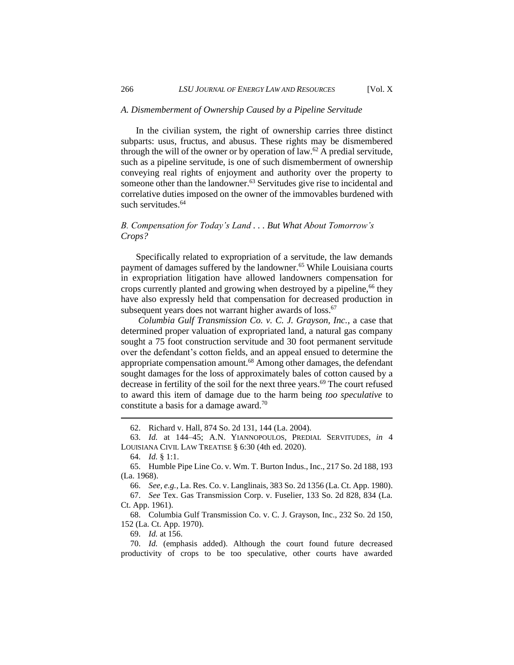## *A. Dismemberment of Ownership Caused by a Pipeline Servitude*

In the civilian system, the right of ownership carries three distinct subparts: usus, fructus, and abusus. These rights may be dismembered through the will of the owner or by operation of law.<sup>62</sup> A predial servitude, such as a pipeline servitude, is one of such dismemberment of ownership conveying real rights of enjoyment and authority over the property to someone other than the landowner.<sup>63</sup> Servitudes give rise to incidental and correlative duties imposed on the owner of the immovables burdened with such servitudes.<sup>64</sup>

## *B. Compensation for Today's Land . . . But What About Tomorrow's Crops?*

Specifically related to expropriation of a servitude, the law demands payment of damages suffered by the landowner.<sup>65</sup> While Louisiana courts in expropriation litigation have allowed landowners compensation for crops currently planted and growing when destroyed by a pipeline,<sup>66</sup> they have also expressly held that compensation for decreased production in subsequent years does not warrant higher awards of loss.<sup>67</sup>

*Columbia Gulf Transmission Co. v. C. J. Grayson, Inc.*, a case that determined proper valuation of expropriated land, a natural gas company sought a 75 foot construction servitude and 30 foot permanent servitude over the defendant's cotton fields, and an appeal ensued to determine the appropriate compensation amount.<sup>68</sup> Among other damages, the defendant sought damages for the loss of approximately bales of cotton caused by a decrease in fertility of the soil for the next three years.<sup>69</sup> The court refused to award this item of damage due to the harm being *too speculative* to constitute a basis for a damage award.<sup>70</sup>

69. *Id.* at 156.

<sup>62.</sup> Richard v. Hall, 874 So. 2d 131, 144 (La. 2004).

<sup>63.</sup> *Id.* at 144–45; A.N. YIANNOPOULOS, PREDIAL SERVITUDES, *in* 4 LOUISIANA CIVIL LAW TREATISE § 6:30 (4th ed. 2020).

<sup>64.</sup> *Id.* § 1:1.

<sup>65.</sup> Humble Pipe Line Co. v. Wm. T. Burton Indus., Inc., 217 So. 2d 188, 193 (La. 1968).

<sup>66.</sup> *See, e.g.*, La. Res. Co. v. Langlinais, 383 So. 2d 1356 (La. Ct. App. 1980).

<sup>67.</sup> *See* Tex. Gas Transmission Corp. v. Fuselier, 133 So. 2d 828, 834 (La. Ct. App. 1961).

<sup>68.</sup> Columbia Gulf Transmission Co. v. C. J. Grayson, Inc., 232 So. 2d 150, 152 (La. Ct. App. 1970).

<sup>70.</sup> *Id.* (emphasis added). Although the court found future decreased productivity of crops to be too speculative, other courts have awarded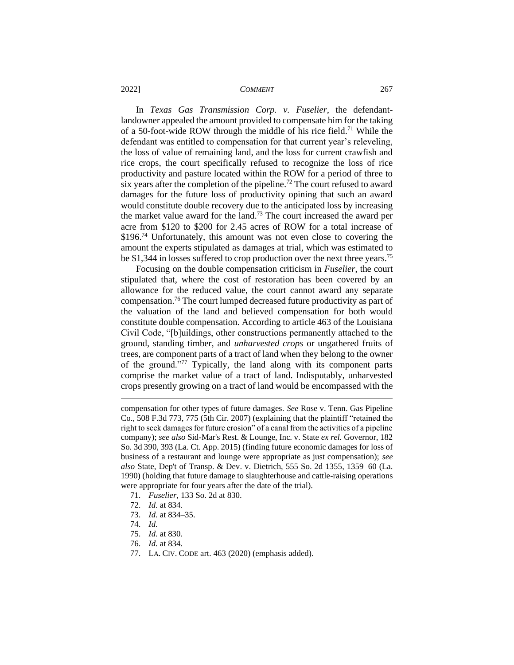In *Texas Gas Transmission Corp. v. Fuselier*, the defendantlandowner appealed the amount provided to compensate him for the taking of a 50-foot-wide ROW through the middle of his rice field.<sup>71</sup> While the defendant was entitled to compensation for that current year's releveling, the loss of value of remaining land, and the loss for current crawfish and rice crops, the court specifically refused to recognize the loss of rice productivity and pasture located within the ROW for a period of three to six years after the completion of the pipeline.<sup>72</sup> The court refused to award damages for the future loss of productivity opining that such an award would constitute double recovery due to the anticipated loss by increasing the market value award for the land.<sup>73</sup> The court increased the award per acre from \$120 to \$200 for 2.45 acres of ROW for a total increase of  $$196<sup>74</sup>$  Unfortunately, this amount was not even close to covering the amount the experts stipulated as damages at trial, which was estimated to be \$1,344 in losses suffered to crop production over the next three years.<sup>75</sup>

Focusing on the double compensation criticism in *Fuselier*, the court stipulated that, where the cost of restoration has been covered by an allowance for the reduced value, the court cannot award any separate compensation.<sup>76</sup> The court lumped decreased future productivity as part of the valuation of the land and believed compensation for both would constitute double compensation. According to article 463 of the Louisiana Civil Code, "[b]uildings, other constructions permanently attached to the ground, standing timber, and *unharvested crops* or ungathered fruits of trees, are component parts of a tract of land when they belong to the owner of the ground."<sup>77</sup> Typically, the land along with its component parts comprise the market value of a tract of land. Indisputably, unharvested crops presently growing on a tract of land would be encompassed with the

compensation for other types of future damages. *See* Rose v. Tenn. Gas Pipeline Co., 508 F.3d 773, 775 (5th Cir. 2007) (explaining that the plaintiff "retained the right to seek damages for future erosion" of a canal from the activities of a pipeline company); *see also* Sid-Mar's Rest. & Lounge, Inc. v. State *ex rel.* Governor, 182 So. 3d 390, 393 (La. Ct. App. 2015) (finding future economic damages for loss of business of a restaurant and lounge were appropriate as just compensation); *see also* State, Dep't of Transp. & Dev. v. Dietrich, 555 So. 2d 1355, 1359–60 (La. 1990) (holding that future damage to slaughterhouse and cattle-raising operations were appropriate for four years after the date of the trial).

- 71. *Fuselier*, 133 So. 2d at 830.
- 72. *Id.* at 834.
- 73. *Id.* at 834–35.
- 74. *Id.*
- 75. *Id.* at 830.
- 76. *Id.* at 834.
- 77. LA. CIV. CODE art. 463 (2020) (emphasis added).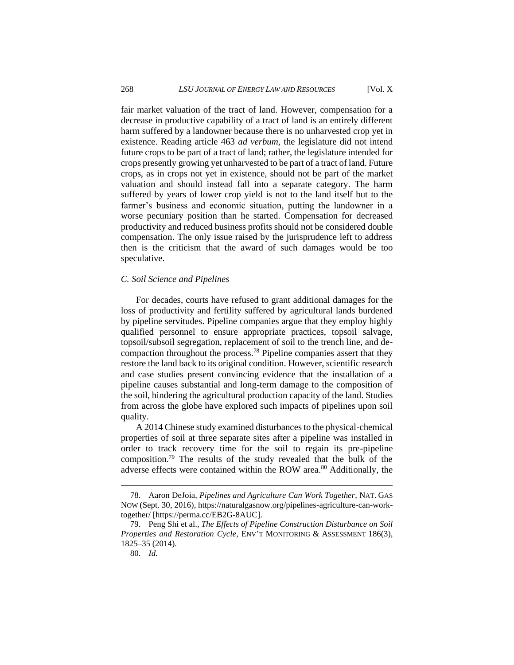fair market valuation of the tract of land. However, compensation for a decrease in productive capability of a tract of land is an entirely different harm suffered by a landowner because there is no unharvested crop yet in existence. Reading article 463 *ad verbum*, the legislature did not intend future crops to be part of a tract of land; rather, the legislature intended for crops presently growing yet unharvested to be part of a tract of land. Future crops, as in crops not yet in existence, should not be part of the market valuation and should instead fall into a separate category. The harm suffered by years of lower crop yield is not to the land itself but to the farmer's business and economic situation, putting the landowner in a worse pecuniary position than he started. Compensation for decreased productivity and reduced business profits should not be considered double compensation. The only issue raised by the jurisprudence left to address then is the criticism that the award of such damages would be too speculative.

## *C. Soil Science and Pipelines*

For decades, courts have refused to grant additional damages for the loss of productivity and fertility suffered by agricultural lands burdened by pipeline servitudes. Pipeline companies argue that they employ highly qualified personnel to ensure appropriate practices, topsoil salvage, topsoil/subsoil segregation, replacement of soil to the trench line, and decompaction throughout the process.<sup>78</sup> Pipeline companies assert that they restore the land back to its original condition. However, scientific research and case studies present convincing evidence that the installation of a pipeline causes substantial and long-term damage to the composition of the soil, hindering the agricultural production capacity of the land. Studies from across the globe have explored such impacts of pipelines upon soil quality.

A 2014 Chinese study examined disturbances to the physical-chemical properties of soil at three separate sites after a pipeline was installed in order to track recovery time for the soil to regain its pre-pipeline composition.<sup>79</sup> The results of the study revealed that the bulk of the adverse effects were contained within the ROW area.<sup>80</sup> Additionally, the

<sup>78.</sup> Aaron DeJoia, *Pipelines and Agriculture Can Work Together*, NAT. GAS NOW (Sept. 30, 2016), https://naturalgasnow.org/pipelines-agriculture-can-worktogether/ [https://perma.cc/EB2G-8AUC].

<sup>79.</sup> Peng Shi et al., *The Effects of Pipeline Construction Disturbance on Soil Properties and Restoration Cycle*, ENV'T MONITORING & ASSESSMENT 186(3), 1825–35 (2014).

<sup>80.</sup> *Id.*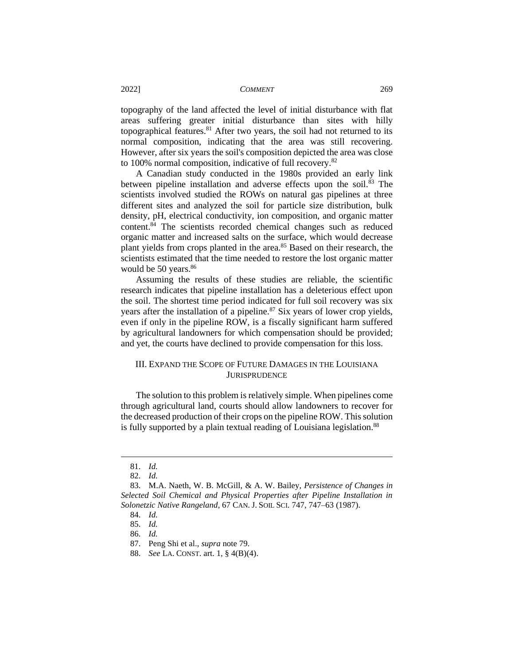topography of the land affected the level of initial disturbance with flat areas suffering greater initial disturbance than sites with hilly topographical features. $81$  After two years, the soil had not returned to its normal composition, indicating that the area was still recovering. However, after six years the soil's composition depicted the area was close to 100% normal composition, indicative of full recovery.<sup>82</sup>

A Canadian study conducted in the 1980s provided an early link between pipeline installation and adverse effects upon the soil.<sup>83</sup> The scientists involved studied the ROWs on natural gas pipelines at three different sites and analyzed the soil for particle size distribution, bulk density, pH, electrical conductivity, ion composition, and organic matter content.<sup>84</sup> The scientists recorded chemical changes such as reduced organic matter and increased salts on the surface, which would decrease plant yields from crops planted in the area.<sup>85</sup> Based on their research, the scientists estimated that the time needed to restore the lost organic matter would be 50 years.<sup>86</sup>

Assuming the results of these studies are reliable, the scientific research indicates that pipeline installation has a deleterious effect upon the soil. The shortest time period indicated for full soil recovery was six years after the installation of a pipeline. $87$  Six years of lower crop yields, even if only in the pipeline ROW, is a fiscally significant harm suffered by agricultural landowners for which compensation should be provided; and yet, the courts have declined to provide compensation for this loss.

## III. EXPAND THE SCOPE OF FUTURE DAMAGES IN THE LOUISIANA **JURISPRUDENCE**

The solution to this problem is relatively simple. When pipelines come through agricultural land, courts should allow landowners to recover for the decreased production of their crops on the pipeline ROW. This solution is fully supported by a plain textual reading of Louisiana legislation.<sup>88</sup>

<sup>81.</sup> *Id.*

<sup>82.</sup> *Id.*

<sup>83.</sup> M.A. Naeth, W. B. McGill, & A. W. Bailey, *Persistence of Changes in Selected Soil Chemical and Physical Properties after Pipeline Installation in Solonetzic Native Rangeland*, 67 CAN. J. SOIL SCI. 747, 747–63 (1987).

<sup>84.</sup> *Id.*

<sup>85.</sup> *Id.*

<sup>86.</sup> *Id.*

<sup>87.</sup> Peng Shi et al., *supra* note 79.

<sup>88.</sup> *See* LA. CONST. art. 1, § 4(B)(4).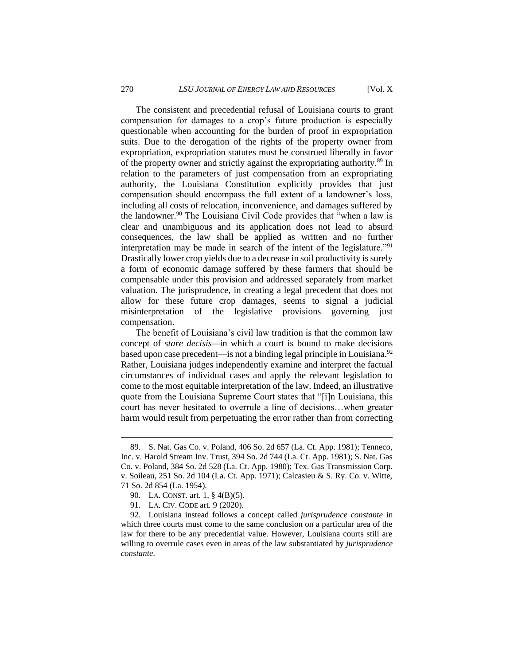The consistent and precedential refusal of Louisiana courts to grant compensation for damages to a crop's future production is especially questionable when accounting for the burden of proof in expropriation suits. Due to the derogation of the rights of the property owner from expropriation, expropriation statutes must be construed liberally in favor of the property owner and strictly against the expropriating authority.<sup>89</sup> In relation to the parameters of just compensation from an expropriating authority, the Louisiana Constitution explicitly provides that just compensation should encompass the full extent of a landowner's loss, including all costs of relocation, inconvenience, and damages suffered by the landowner.<sup>90</sup> The Louisiana Civil Code provides that "when a law is clear and unambiguous and its application does not lead to absurd consequences, the law shall be applied as written and no further interpretation may be made in search of the intent of the legislature."<sup>91</sup> Drastically lower crop yields due to a decrease in soil productivity is surely a form of economic damage suffered by these farmers that should be compensable under this provision and addressed separately from market valuation. The jurisprudence, in creating a legal precedent that does not allow for these future crop damages, seems to signal a judicial misinterpretation of the legislative provisions governing just compensation.

The benefit of Louisiana's civil law tradition is that the common law concept of *stare decisis—*in which a court is bound to make decisions based upon case precedent—is not a binding legal principle in Louisiana.<sup>92</sup> Rather, Louisiana judges independently examine and interpret the factual circumstances of individual cases and apply the relevant legislation to come to the most equitable interpretation of the law. Indeed, an illustrative quote from the Louisiana Supreme Court states that "[i]n Louisiana, this court has never hesitated to overrule a line of decisions…when greater harm would result from perpetuating the error rather than from correcting

<sup>89.</sup> S. Nat. Gas Co. v. Poland, 406 So. 2d 657 (La. Ct. App. 1981); Tenneco, Inc. v. Harold Stream Inv. Trust, 394 So. 2d 744 (La. Ct. App. 1981); S. Nat. Gas Co. v. Poland, 384 So. 2d 528 (La. Ct. App. 1980); Tex. Gas Transmission Corp. v. Soileau, 251 So. 2d 104 (La. Ct. App. 1971); Calcasieu & S. Ry. Co. v. Witte, 71 So. 2d 854 (La. 1954).

<sup>90.</sup> LA. CONST. art. 1, § 4(B)(5).

<sup>91.</sup> LA. CIV. CODE art. 9 (2020).

<sup>92.</sup> Louisiana instead follows a concept called *jurisprudence constante* in which three courts must come to the same conclusion on a particular area of the law for there to be any precedential value. However, Louisiana courts still are willing to overrule cases even in areas of the law substantiated by *jurisprudence constante*.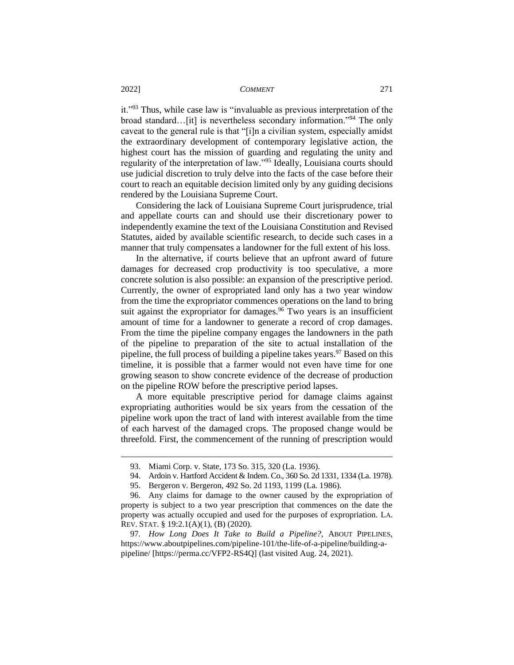it."<sup>93</sup> Thus, while case law is "invaluable as previous interpretation of the broad standard…[it] is nevertheless secondary information."<sup>94</sup> The only caveat to the general rule is that "[i]n a civilian system, especially amidst the extraordinary development of contemporary legislative action, the highest court has the mission of guarding and regulating the unity and regularity of the interpretation of law."<sup>95</sup> Ideally, Louisiana courts should use judicial discretion to truly delve into the facts of the case before their court to reach an equitable decision limited only by any guiding decisions rendered by the Louisiana Supreme Court.

Considering the lack of Louisiana Supreme Court jurisprudence, trial and appellate courts can and should use their discretionary power to independently examine the text of the Louisiana Constitution and Revised Statutes, aided by available scientific research, to decide such cases in a manner that truly compensates a landowner for the full extent of his loss.

In the alternative, if courts believe that an upfront award of future damages for decreased crop productivity is too speculative, a more concrete solution is also possible: an expansion of the prescriptive period. Currently, the owner of expropriated land only has a two year window from the time the expropriator commences operations on the land to bring suit against the expropriator for damages.<sup>96</sup> Two years is an insufficient amount of time for a landowner to generate a record of crop damages. From the time the pipeline company engages the landowners in the path of the pipeline to preparation of the site to actual installation of the pipeline, the full process of building a pipeline takes years.<sup>97</sup> Based on this timeline, it is possible that a farmer would not even have time for one growing season to show concrete evidence of the decrease of production on the pipeline ROW before the prescriptive period lapses.

A more equitable prescriptive period for damage claims against expropriating authorities would be six years from the cessation of the pipeline work upon the tract of land with interest available from the time of each harvest of the damaged crops. The proposed change would be threefold. First, the commencement of the running of prescription would

97*. How Long Does It Take to Build a Pipeline?*, ABOUT PIPELINES, https://www.aboutpipelines.com/pipeline-101/the-life-of-a-pipeline/building-apipeline/ [https://perma.cc/VFP2-RS4Q] (last visited Aug. 24, 2021).

<sup>93.</sup> Miami Corp. v. State, 173 So. 315, 320 (La. 1936).

<sup>94.</sup> Ardoin v. Hartford Accident & Indem. Co., 360 So. 2d 1331, 1334 (La. 1978).

<sup>95.</sup> Bergeron v. Bergeron, 492 So. 2d 1193, 1199 (La. 1986).

<sup>96.</sup> Any claims for damage to the owner caused by the expropriation of property is subject to a two year prescription that commences on the date the property was actually occupied and used for the purposes of expropriation. LA. REV. STAT. § 19:2.1(A)(1), (B) (2020).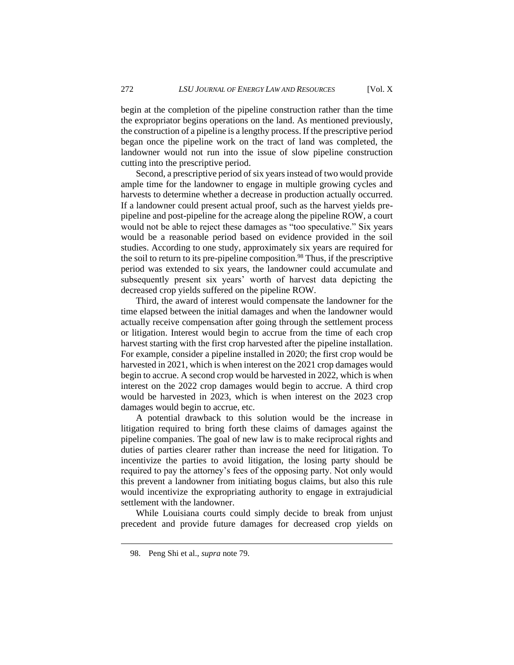begin at the completion of the pipeline construction rather than the time the expropriator begins operations on the land. As mentioned previously, the construction of a pipeline is a lengthy process. If the prescriptive period began once the pipeline work on the tract of land was completed, the landowner would not run into the issue of slow pipeline construction cutting into the prescriptive period.

Second, a prescriptive period of six years instead of two would provide ample time for the landowner to engage in multiple growing cycles and harvests to determine whether a decrease in production actually occurred. If a landowner could present actual proof, such as the harvest yields prepipeline and post-pipeline for the acreage along the pipeline ROW, a court would not be able to reject these damages as "too speculative." Six years would be a reasonable period based on evidence provided in the soil studies. According to one study, approximately six years are required for the soil to return to its pre-pipeline composition.<sup>98</sup> Thus, if the prescriptive period was extended to six years, the landowner could accumulate and subsequently present six years' worth of harvest data depicting the decreased crop yields suffered on the pipeline ROW.

Third, the award of interest would compensate the landowner for the time elapsed between the initial damages and when the landowner would actually receive compensation after going through the settlement process or litigation. Interest would begin to accrue from the time of each crop harvest starting with the first crop harvested after the pipeline installation. For example, consider a pipeline installed in 2020; the first crop would be harvested in 2021, which is when interest on the 2021 crop damages would begin to accrue. A second crop would be harvested in 2022, which is when interest on the 2022 crop damages would begin to accrue. A third crop would be harvested in 2023, which is when interest on the 2023 crop damages would begin to accrue, etc.

A potential drawback to this solution would be the increase in litigation required to bring forth these claims of damages against the pipeline companies. The goal of new law is to make reciprocal rights and duties of parties clearer rather than increase the need for litigation. To incentivize the parties to avoid litigation, the losing party should be required to pay the attorney's fees of the opposing party. Not only would this prevent a landowner from initiating bogus claims, but also this rule would incentivize the expropriating authority to engage in extrajudicial settlement with the landowner.

While Louisiana courts could simply decide to break from unjust precedent and provide future damages for decreased crop yields on

<sup>98.</sup> Peng Shi et al., *supra* note 79.